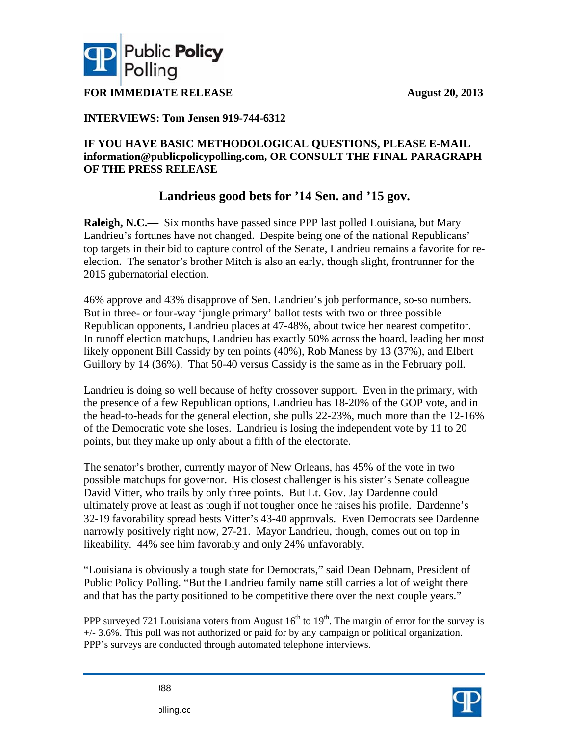**Aug gust 20, 2013**



**FOR IMMEDIATE RELEASE** 

#### **INTE ERVIEWS: Tom Jense en 919-744-6 6312**

## IF YOU HAVE BASIC METHODOLOGICAL QUESTIONS, PLEASE E-MAIL  $\hat{}$  information@publicpolicypolling.com, OR CONSULT THE FINAL PARAGRAPH **OF THE PRESS RELEASE 3H**

# **L Landrieus Es good bet ts for '14 S Sen. and '1 15 gov.**

**Raleigh, N.C.—** Six months have passed since PPP last polled Louisiana, but Mary Landrieu's fortunes have not changed. Despite being one of the national Republicans' top targets in their bid to capture control of the Senate, Landrieu remains a favorite for reelection. The senator's brother Mitch is also an early, though slight, frontrunner for the 2015 gubernatorial election.

46% approve and 43% disapprove of Sen. Landrieu's job performance, so-so numbers. But in three- or four-way 'jungle primary' ballot tests with two or three possible Republican opponents, Landrieu places at 47-48%, about twice her nearest competitor. In runoff election matchups, Landrieu has exactly 50% across the board, leading her most likely opponent Bill Cassidy by ten points (40%), Rob Maness by 13 (37%), and Elbert Guillory by 14 (36%). That 50-40 versus Cassidy is the same as in the February poll.

Landrieu is doing so well because of hefty crossover support. Even in the primary, with the presence of a few Republican options, Landrieu has 18-20% of the GOP vote, and in the head-to-heads for the general election, she pulls 22-23%, much more than the 12-16% of the Democratic vote she loses. Landrieu is losing the independent vote by 11 to 20 points, but they make up only about a fifth of the electorate.

The senator's brother, currently mayor of New Orleans, has 45% of the vote in two possible matchups for governor. His closest challenger is his sister's Senate colleague David Vitter, who trails by only three points. But Lt. Gov. Jay Dardenne could ultimately prove at least as tough if not tougher once he raises his profile. Dardenne's 32-19 favorability spread bests Vitter's 43-40 approvals. Even Democrats see Dardenne narrowly positively right now, 27-21. Mayor Landrieu, though, comes out on top in likeability. 44% see him favorably and only 24% unfavorably.  $\frac{6}{3}$ <br>is

"Louisiana is obviously a tough state for Democrats," said Dean Debnam, President of Public Policy Polling. "But the Landrieu family name still carries a lot of weight there and that has the party positioned to be competitive there over the next couple years."

PPP surveyed 721 Louisiana voters from August  $16^{th}$  to  $19^{th}$ . The margin of error for the survey i  $+/-$  3.6%. This poll was not authorized or paid for by any campaign or political organization. PPP's surveys are conducted through automated telephone interviews.

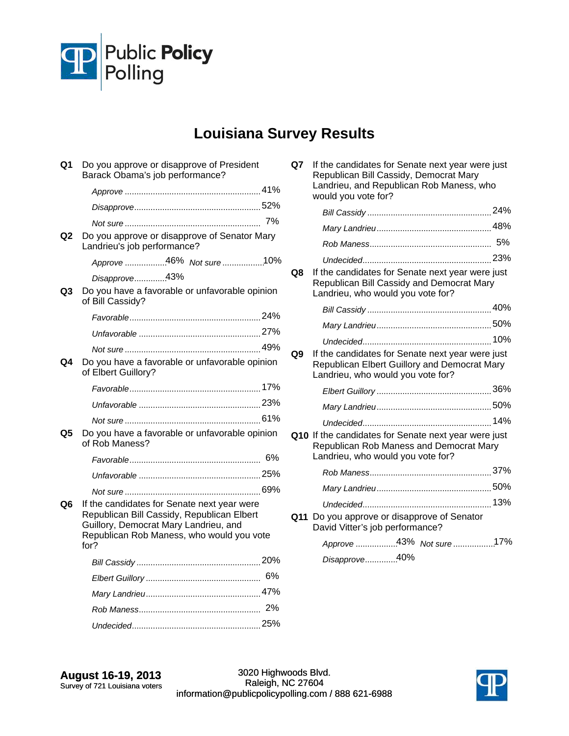

### **Louisiana Survey Results**

| Q1 | Do you approve or disapprove of President<br>Barack Obama's job performance?                                                       |    |
|----|------------------------------------------------------------------------------------------------------------------------------------|----|
|    |                                                                                                                                    |    |
|    |                                                                                                                                    |    |
|    |                                                                                                                                    |    |
| Q2 | Do you approve or disapprove of Senator Mary<br>Landrieu's job performance?                                                        |    |
|    | Approve 46% Not sure 10%                                                                                                           |    |
| Q3 | Disapprove43%<br>Do you have a favorable or unfavorable opinion<br>of Bill Cassidy?                                                |    |
|    |                                                                                                                                    |    |
|    |                                                                                                                                    |    |
|    |                                                                                                                                    |    |
| Q4 | Do you have a favorable or unfavorable opinion<br>of Elbert Guillory?                                                              |    |
|    |                                                                                                                                    |    |
|    |                                                                                                                                    |    |
|    |                                                                                                                                    |    |
| Q5 | Do you have a favorable or unfavorable opinion<br>of Rob Maness?                                                                   |    |
|    |                                                                                                                                    |    |
|    |                                                                                                                                    |    |
|    |                                                                                                                                    |    |
| Q6 | If the candidates for Senate next year were<br>Republican Bill Cassidy, Republican Elbert<br>Guillory, Democrat Mary Landrieu, and |    |
|    | Republican Rob Maness, who would you vote<br>for?                                                                                  |    |
|    |                                                                                                                                    |    |
|    |                                                                                                                                    | 6% |
|    |                                                                                                                                    |    |
|    |                                                                                                                                    |    |
|    |                                                                                                                                    |    |

| Q7 | If the candidates for Senate next year were just<br>Republican Bill Cassidy, Democrat Mary<br>Landrieu, and Republican Rob Maness, who<br>would you vote for? |  |
|----|---------------------------------------------------------------------------------------------------------------------------------------------------------------|--|
|    |                                                                                                                                                               |  |
|    |                                                                                                                                                               |  |
|    |                                                                                                                                                               |  |
|    |                                                                                                                                                               |  |
| Q8 | If the candidates for Senate next year were just<br>Republican Bill Cassidy and Democrat Mary<br>Landrieu, who would you vote for?                            |  |
|    |                                                                                                                                                               |  |
|    |                                                                                                                                                               |  |
|    |                                                                                                                                                               |  |
| Q9 | If the candidates for Senate next year were just<br>Republican Elbert Guillory and Democrat Mary<br>Landrieu, who would you vote for?                         |  |
|    |                                                                                                                                                               |  |
|    |                                                                                                                                                               |  |
|    |                                                                                                                                                               |  |
|    | Q10 If the candidates for Senate next year were just<br>Republican Rob Maness and Democrat Mary<br>Landrieu, who would you vote for?                          |  |
|    |                                                                                                                                                               |  |
|    |                                                                                                                                                               |  |
|    |                                                                                                                                                               |  |
|    | Q11 Do you approve or disapprove of Senator<br>David Vitter's job performance?                                                                                |  |
|    | Approve 43% Not sure 17%                                                                                                                                      |  |
|    | Disapprove40%                                                                                                                                                 |  |

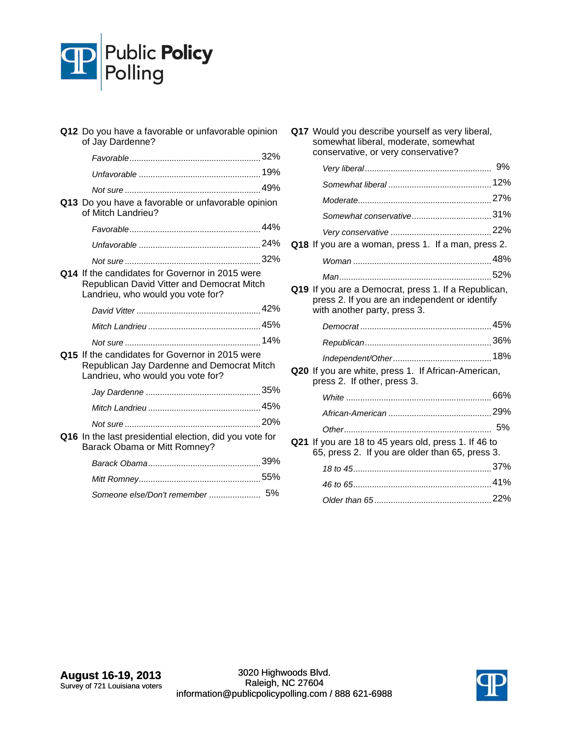

| Q12 Do you have a favorable or unfavorable opinion<br>of Jay Dardenne?                                                             |  |
|------------------------------------------------------------------------------------------------------------------------------------|--|
|                                                                                                                                    |  |
|                                                                                                                                    |  |
|                                                                                                                                    |  |
| Q13 Do you have a favorable or unfavorable opinion<br>of Mitch Landrieu?                                                           |  |
|                                                                                                                                    |  |
|                                                                                                                                    |  |
|                                                                                                                                    |  |
| Q14 If the candidates for Governor in 2015 were<br>Republican David Vitter and Democrat Mitch<br>Landrieu, who would you vote for? |  |
|                                                                                                                                    |  |
|                                                                                                                                    |  |
|                                                                                                                                    |  |
| Q15 If the candidates for Governor in 2015 were<br>Republican Jay Dardenne and Democrat Mitch<br>Landrieu, who would you vote for? |  |
|                                                                                                                                    |  |
|                                                                                                                                    |  |
|                                                                                                                                    |  |
| Q16 In the last presidential election, did you vote for<br>Barack Obama or Mitt Romney?                                            |  |
|                                                                                                                                    |  |
|                                                                                                                                    |  |
|                                                                                                                                    |  |

| conservative, or very conservative?                                                                                                    |  |
|----------------------------------------------------------------------------------------------------------------------------------------|--|
|                                                                                                                                        |  |
|                                                                                                                                        |  |
|                                                                                                                                        |  |
|                                                                                                                                        |  |
|                                                                                                                                        |  |
| Q18 If you are a woman, press 1. If a man, press 2.                                                                                    |  |
|                                                                                                                                        |  |
|                                                                                                                                        |  |
| Q19 If you are a Democrat, press 1. If a Republican,<br>press 2. If you are an independent or identify<br>with another party, press 3. |  |
|                                                                                                                                        |  |
|                                                                                                                                        |  |
|                                                                                                                                        |  |
| Q20 If you are white, press 1. If African-American,<br>press 2. If other, press 3.                                                     |  |
|                                                                                                                                        |  |
|                                                                                                                                        |  |
|                                                                                                                                        |  |
| Q21 If you are 18 to 45 years old, press 1. If 46 to<br>65, press 2. If you are older than 65, press 3.                                |  |
|                                                                                                                                        |  |
|                                                                                                                                        |  |
|                                                                                                                                        |  |

**Q17** Would you describe yourself as very liberal, somewhat liberal, moderate, somewhat

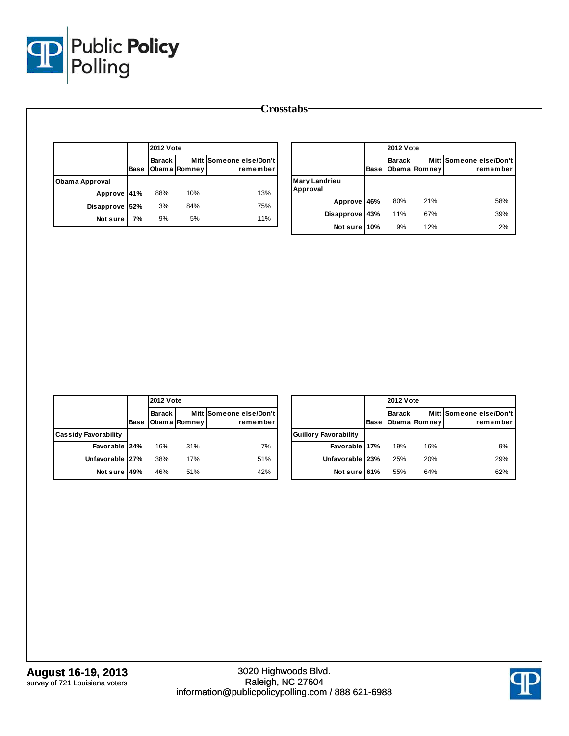

|                |      |               | <b>2012 Vote</b> |                                     |  |
|----------------|------|---------------|------------------|-------------------------------------|--|
|                | Base | <b>Barack</b> | Obama Romney     | Mitt Someone else/Don't<br>remember |  |
| Obama Approval |      |               |                  |                                     |  |
| Approve 41%    |      | 88%           | 10%              | 13%                                 |  |
| Disapprove     | 52%  | 3%            | 84%              | 75%                                 |  |
| Not sure       | 7%   | 9%            | 5%               | 11%                                 |  |

|                                  |      | <b>2012 Vote</b> |              |                                     |  |
|----------------------------------|------|------------------|--------------|-------------------------------------|--|
|                                  | Base | Barack           | Obama Romney | Mitt Someone else/Don't<br>remember |  |
| <b>Mary Landrieu</b><br>Approval |      |                  |              |                                     |  |
| Approve 46%                      |      | 80%              | 21%          | 58%                                 |  |
| <b>Disapprove</b>                | 43%  | 11%              | 67%          | 39%                                 |  |
| Not sure 10%                     |      | 9%               | 12%          | 2%                                  |  |

|                             |      | <b>2012 Vote</b> |              |                                     |
|-----------------------------|------|------------------|--------------|-------------------------------------|
|                             | Base | Barack I         | Obama Romney | Mitt Someone else/Don't<br>remember |
| <b>Cassidy Favorability</b> |      |                  |              |                                     |
| Favorable   24%             |      | 16%              | 31%          | 7%                                  |
| Unfavorable 27%             |      | 38%              | 17%          | 51%                                 |
| Not sure                    | 49%  | 46%              | 51%          | 42%                                 |

|                              |      |               | <b>2012 Vote</b> |                                     |  |
|------------------------------|------|---------------|------------------|-------------------------------------|--|
|                              | Base | <b>Barack</b> | Obama Romney     | Mitt Someone else/Don't<br>remember |  |
| <b>Guillory Favorability</b> |      |               |                  |                                     |  |
| Favorable 17%                |      | 19%           | 16%              | 9%                                  |  |
| Unfavorable   23%            |      | 25%           | 20%              | 29%                                 |  |
| Not sure 61%                 |      | 55%           | 64%              | 62%                                 |  |

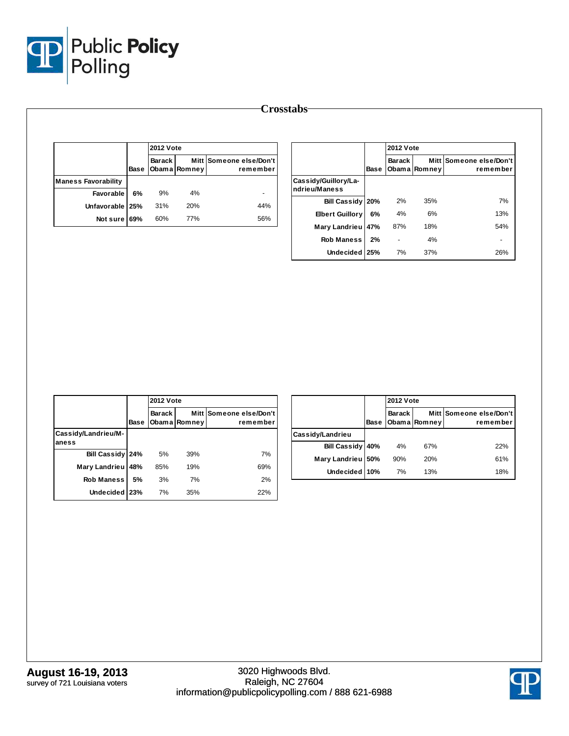

|                            |      |               | <b>2012 Vote</b> |                                     |  |
|----------------------------|------|---------------|------------------|-------------------------------------|--|
|                            | Base | <b>Barack</b> | Obama Romney     | Mitt Someone else/Don't<br>remember |  |
| <b>Maness Favorability</b> |      |               |                  |                                     |  |
| Favorable                  | 6%   | 9%            | 4%               |                                     |  |
| Unfavorable   25%          |      | 31%           | 20%              | 44%                                 |  |
| Not sure                   | 69%  | 60%           | 77%              | 56%                                 |  |

|                                       |      | <b>2012 Vote</b> |              |                                     |
|---------------------------------------|------|------------------|--------------|-------------------------------------|
|                                       | Base | Barack           | Obama Romney | Mitt Someone else/Don't<br>remember |
| Cassidy/Guillory/La-<br>ndrieu/Maness |      |                  |              |                                     |
| <b>Bill Cassidy</b>                   | 20%  | 2%               | 35%          | 7%                                  |
| <b>Elbert Guillory</b>                | 6%   | 4%               | 6%           | 13%                                 |
| Mary Landrieu                         | 47%  | 87%              | 18%          | 54%                                 |
| <b>Rob Maness</b>                     | 2%   |                  | 4%           |                                     |
| Undecided 25%                         |      | 7%               | 37%          | 26%                                 |

|                              |      | <b>2012 Vote</b> |              |                                     |
|------------------------------|------|------------------|--------------|-------------------------------------|
|                              | Base | Barack           | Obama Romney | Mitt Someone else/Don't<br>remember |
| Cassidy/Landrieu/M-<br>aness |      |                  |              |                                     |
| Bill Cassidy 24%             |      | 5%               | 39%          | 7%                                  |
| Mary Landrieu                | 48%  | 85%              | 19%          | 69%                                 |
| <b>Rob Maness</b>            | 5%   | 3%               | 7%           | 2%                                  |
| <b>Undecided</b>             | 23%  | 7%               | 35%          | 22%                                 |

|                     |      | <b>2012 Vote</b> |              |                                     |  |  |
|---------------------|------|------------------|--------------|-------------------------------------|--|--|
|                     | Base | <b>Barack</b>    | Obama Romney | Mitt Someone else/Don't<br>remember |  |  |
| Cassidy/Landrieu    |      |                  |              |                                     |  |  |
| <b>Bill Cassidy</b> | 40%  | 4%               | 67%          | 22%                                 |  |  |
| Mary Landrieu       | 50%  | 90%              | 20%          | 61%                                 |  |  |
| Undecided 10%       |      | 7%               | 13%          | 18%                                 |  |  |

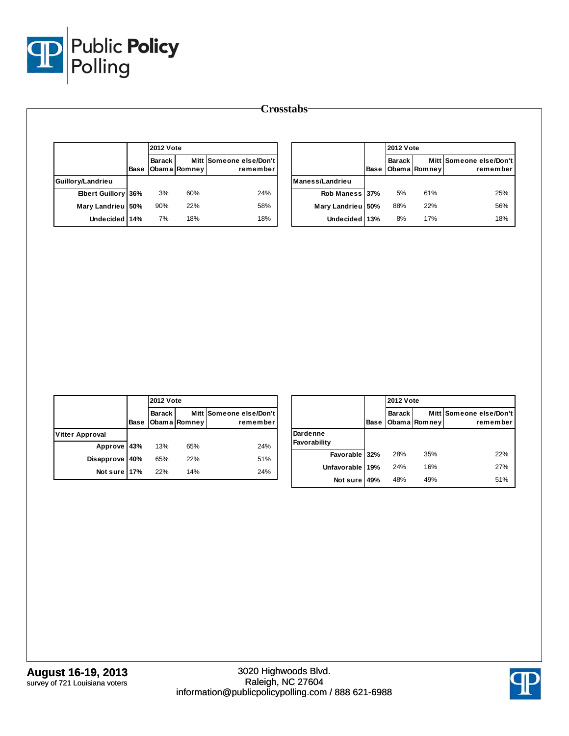

|                        |      | <b>2012 Vote</b> |              |                                     |  |
|------------------------|------|------------------|--------------|-------------------------------------|--|
|                        | Base | Barack I         | Obama Romney | Mitt Someone else/Don't<br>remember |  |
| Guillory/Landrieu      |      |                  |              |                                     |  |
| <b>Elbert Guillory</b> | 36%  | 3%               | 60%          | 24%                                 |  |
| Mary Landrieu 50%      |      | 90%              | 22%          | 58%                                 |  |
| Undecided 14%          |      | 7%               | 18%          | 18%                                 |  |

|                 |      | <b>2012 Vote</b> |              |                                     |  |  |
|-----------------|------|------------------|--------------|-------------------------------------|--|--|
|                 | Base | <b>Barack</b>    | Obama Romney | Mitt Someone else/Don't<br>remember |  |  |
| Maness/Landrieu |      |                  |              |                                     |  |  |
| Rob Maness 37%  |      | 5%               | 61%          | 25%                                 |  |  |
| Mary Landrieu   | 150% | 88%              | 22%          | 56%                                 |  |  |
| Undecided 13%   |      | 8%               | 17%          | 18%                                 |  |  |

|                        |      | <b>2012 Vote</b> |              |                                     |  |  |
|------------------------|------|------------------|--------------|-------------------------------------|--|--|
|                        | Base | Barack I         | Obama Romney | Mitt Someone else/Don't<br>remember |  |  |
| <b>Vitter Approval</b> |      |                  |              |                                     |  |  |
| Approve 43%            |      | 13%              | 65%          | 24%                                 |  |  |
| <b>Disapprove</b>      | 40%  | 65%              | 22%          | 51%                                 |  |  |
| Not sure 17%           |      | 22%              | 14%          | 24%                                 |  |  |

|                          |      |               | <b>2012 Vote</b> |                                     |  |  |  |
|--------------------------|------|---------------|------------------|-------------------------------------|--|--|--|
|                          | Base | <b>Barack</b> | Obama Romney     | Mitt Someone else/Don't<br>remember |  |  |  |
| Dardenne<br>Favorability |      |               |                  |                                     |  |  |  |
| Favorable 32%            |      | 28%           | 35%              | 22%                                 |  |  |  |
| <b>Unfavorable</b>       | 19%  | 24%           | 16%              | 27%                                 |  |  |  |
| Not sure                 | 49%  | 48%           | 49%              | 51%                                 |  |  |  |

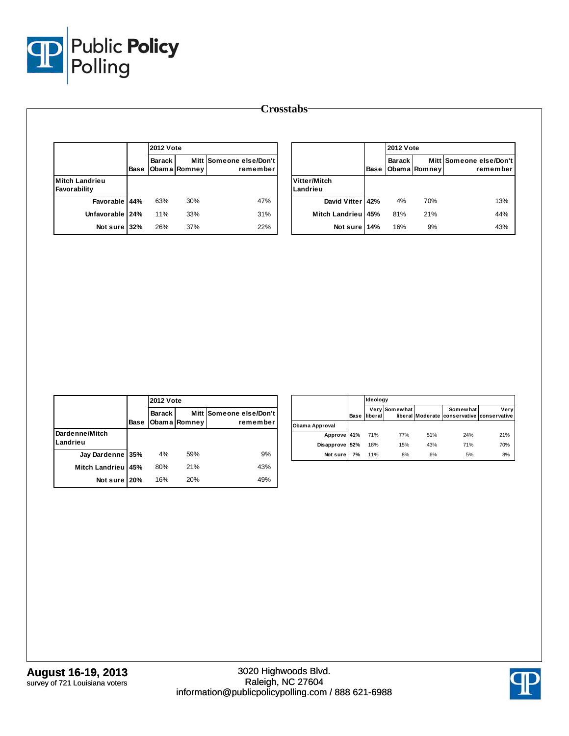

|                                |      | <b>2012 Vote</b> |              |                                     |                          |      | 2012 Vo                |
|--------------------------------|------|------------------|--------------|-------------------------------------|--------------------------|------|------------------------|
|                                | Base | <b>Barack</b>    | Obama Romney | Mitt Someone else/Don't<br>remember |                          | Base | Barack<br><b>Obama</b> |
| Mitch Landrieu<br>Favorability |      |                  |              |                                     | Vitter/Mitch<br>Landrieu |      |                        |
| Favorable                      | 44%  | 63%              | 30%          | 47%                                 | David Vitter             | 42%  | 4%                     |
| <b>Unfavorable</b>             | 24%  | 11%              | 33%          | 31%                                 | Mitch Landrieu           | 45%  | 81%                    |
| Not sure                       | 32%  | 26%              | 37%          | 22%                                 | Not sure                 | 14%  | 16%                    |

|                          |      |               | <b>2012 Vote</b> |                                     |  |  |  |  |
|--------------------------|------|---------------|------------------|-------------------------------------|--|--|--|--|
|                          | Base | <b>Barack</b> | Obama Romney     | Mitt Someone else/Don't<br>remember |  |  |  |  |
| Vitter/Mitch<br>Landrieu |      |               |                  |                                     |  |  |  |  |
| David Vitter   42%       |      | 4%            | 70%              | 13%                                 |  |  |  |  |
| Mitch Landrieu 45%       |      | 81%           | 21%              | 44%                                 |  |  |  |  |
| Not sure 14%             |      | 16%           | 9%               | 43%                                 |  |  |  |  |

|                            |      | <b>2012 Vote</b> |              |                                     |  |  |
|----------------------------|------|------------------|--------------|-------------------------------------|--|--|
|                            | Base | Barack           | Obama Romney | Mitt Someone else/Don't<br>remember |  |  |
| Dardenne/Mitch<br>Landrieu |      |                  |              |                                     |  |  |
| Jay Dardenne 35%           |      | 4%               | 59%          | 9%                                  |  |  |
| Mitch Landrieu 45%         |      | 80%              | 21%          | 43%                                 |  |  |
| Not sure                   | 20%  | 16%              | 20%          | 49%                                 |  |  |

|                |      | Ideology       |               |     |                                                        |      |  |  |
|----------------|------|----------------|---------------|-----|--------------------------------------------------------|------|--|--|
|                | Base | <b>liberal</b> | Very Somewhat |     | Somewhat<br>liberal Moderate conservative conservative | Very |  |  |
| Obama Approval |      |                |               |     |                                                        |      |  |  |
| Approve 41%    |      | 71%            | 77%           | 51% | 24%                                                    | 21%  |  |  |
| Disapprove 52% |      | 18%            | 15%           | 43% | 71%                                                    | 70%  |  |  |
| Not sure       | 7%   | 11%            | 8%            | 6%  | 5%                                                     | 8%   |  |  |

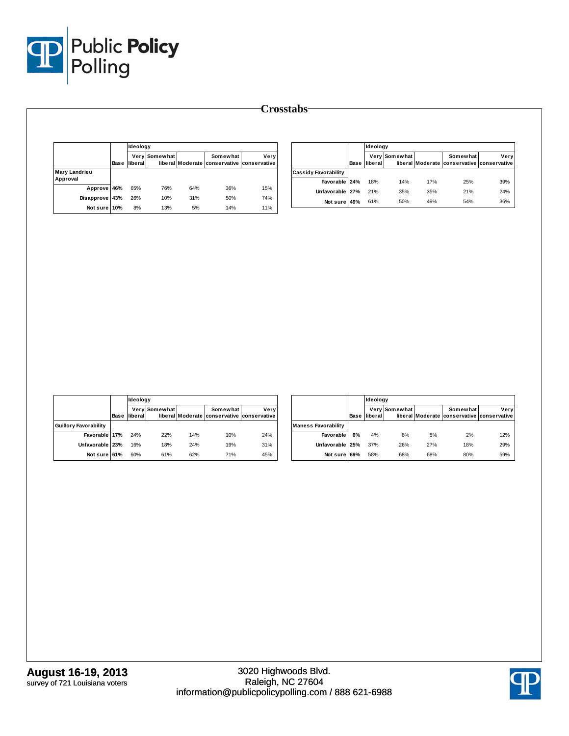

|                                  |      | Ideology |               |     |                                                        |      |  |
|----------------------------------|------|----------|---------------|-----|--------------------------------------------------------|------|--|
|                                  | Base | liberal  | Very Somewhat |     | Somewhat<br>liberal Moderate conservative conservative | Very |  |
| <b>Mary Landrieu</b><br>Approval |      |          |               |     |                                                        |      |  |
| Approve 46%                      |      | 65%      | 76%           | 64% | 36%                                                    | 15%  |  |
| Disapprove 43%                   |      | 26%      | 10%           | 31% | 50%                                                    | 74%  |  |
| Not sure 10%                     |      | 8%       | 13%           | 5%  | 14%                                                    | 11%  |  |

|                             |      | Ideology |               |     |                                                        |      |  |
|-----------------------------|------|----------|---------------|-----|--------------------------------------------------------|------|--|
|                             | Base | liberal  | Very Somewhat |     | Somewhat<br>liberal Moderate conservative conservative | Very |  |
| <b>Cassidy Favorability</b> |      |          |               |     |                                                        |      |  |
| Favorable 24%               |      | 18%      | 14%           | 17% | 25%                                                    | 39%  |  |
| Unfavorable 27%             |      | 21%      | 35%           | 35% | 21%                                                    | 24%  |  |
| Not sure                    | 49%  | 61%      | 50%           | 49% | 54%                                                    | 36%  |  |

|                              |      |         | <b>Ideology</b> |     |                                                               |      |  |  |  |
|------------------------------|------|---------|-----------------|-----|---------------------------------------------------------------|------|--|--|--|
|                              | Base | liberal | Very Somewhat   |     | <b>Somewhat</b><br>liberal Moderate conservative conservative | Very |  |  |  |
| <b>Guillory Favorability</b> |      |         |                 |     |                                                               |      |  |  |  |
| Favorable 17%                |      | 24%     | 22%             | 14% | 10%                                                           | 24%  |  |  |  |
| Unfavorable 23%              |      | 16%     | 18%             | 24% | 19%                                                           | 31%  |  |  |  |
| Not sure 61%                 |      | 60%     | 61%             | 62% | 71%                                                           | 45%  |  |  |  |

|                            |      |         | Ideology      |     |                                                        |      |  |  |  |
|----------------------------|------|---------|---------------|-----|--------------------------------------------------------|------|--|--|--|
|                            | Base | liberal | Very Somewhat |     | Somewhat<br>liberal Moderate conservative conservative | Verv |  |  |  |
| <b>Maness Favorability</b> |      |         |               |     |                                                        |      |  |  |  |
| Favorable                  | 6%   | 4%      | 6%            | 5%  | 2%                                                     | 12%  |  |  |  |
| Unfavorable 25%            |      | 37%     | 26%           | 27% | 18%                                                    | 29%  |  |  |  |
| Not sure                   | 69%  | 58%     | 68%           | 68% | 80%                                                    | 59%  |  |  |  |

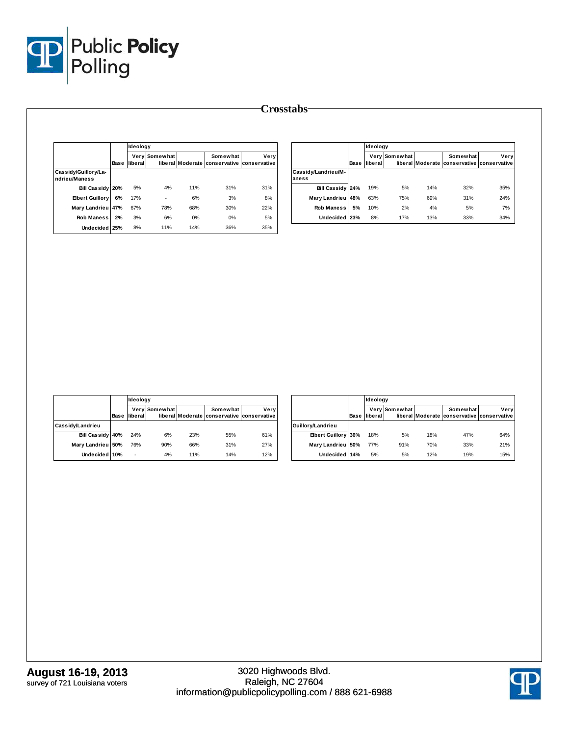

|                                       |      |         | Ideology      |     |                                                        |      |  |  |
|---------------------------------------|------|---------|---------------|-----|--------------------------------------------------------|------|--|--|
|                                       | Base | liberal | Very Somewhat |     | Somewhat<br>liberal Moderate conservative conservative | Very |  |  |
| Cassidy/Guillory/La-<br>ndrieu/Maness |      |         |               |     |                                                        |      |  |  |
| <b>Bill Cassidy</b>                   | 20%  | 5%      | 4%            | 11% | 31%                                                    | 31%  |  |  |
| <b>Elbert Guillory</b>                | 6%   | 17%     | ٠             | 6%  | 3%                                                     | 8%   |  |  |
| Mary Landrieu                         | 47%  | 67%     | 78%           | 68% | 30%                                                    | 22%  |  |  |
| <b>Rob Maness</b>                     | 2%   | 3%      | 6%            | 0%  | 0%                                                     | 5%   |  |  |
| <b>Undecided</b>                      | 25%  | 8%      | 11%           | 14% | 36%                                                    | 35%  |  |  |

|                              |      | Ideology |               |     |                                                        |      |
|------------------------------|------|----------|---------------|-----|--------------------------------------------------------|------|
|                              | Base | liberal  | Very Somewhat |     | Somewhat<br>liberal Moderate conservative conservative | Very |
| Cassidy/Landrieu/M-<br>aness |      |          |               |     |                                                        |      |
| <b>Bill Cassidy 24%</b>      |      | 19%      | 5%            | 14% | 32%                                                    | 35%  |
| Mary Landrieu                | 48%  | 63%      | 75%           | 69% | 31%                                                    | 24%  |
| <b>Rob Maness</b>            | 5%   | 10%      | 2%            | 4%  | 5%                                                     | 7%   |
| Undecided 23%                |      | 8%       | 17%           | 13% | 33%                                                    | 34%  |

|                   |      |         | Ideology      |     |                                                        |      |  |  |
|-------------------|------|---------|---------------|-----|--------------------------------------------------------|------|--|--|
|                   | Base | liberal | Very Somewhat |     | Somewhat<br>liberal Moderate conservative conservative | Very |  |  |
| Cassidy/Landrieu  |      |         |               |     |                                                        |      |  |  |
| Bill Cassidy 40%  |      | 24%     | 6%            | 23% | 55%                                                    | 61%  |  |  |
| Mary Landrieu 50% |      | 76%     | 90%           | 66% | 31%                                                    | 27%  |  |  |
| Undecided 10%     |      | ٠       | 4%            | 11% | 14%                                                    | 12%  |  |  |

|                     |      |         | Ideology      |     |                                                        |      |  |  |
|---------------------|------|---------|---------------|-----|--------------------------------------------------------|------|--|--|
|                     | Base | liberal | Very Somewhat |     | Somewhat<br>liberal Moderate conservative conservative | Very |  |  |
| Guillory/Landrieu   |      |         |               |     |                                                        |      |  |  |
| Elbert Guillory 36% |      | 18%     | 5%            | 18% | 47%                                                    | 64%  |  |  |
| Mary Landrieu 50%   |      | 77%     | 91%           | 70% | 33%                                                    | 21%  |  |  |
| Undecided 14%       |      | 5%      | 5%            | 12% | 19%                                                    | 15%  |  |  |

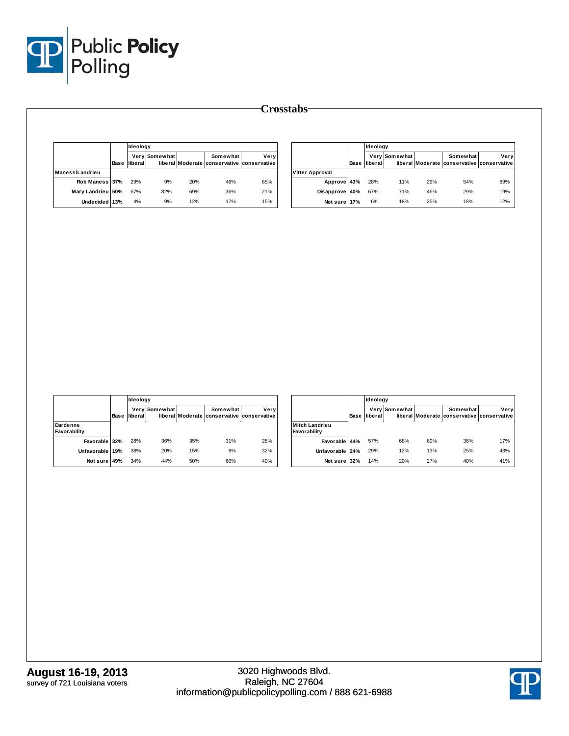

|                   | Ideology            |               |     |                                                        |      |                        | Ideology            |               |     |                                                        |      |
|-------------------|---------------------|---------------|-----|--------------------------------------------------------|------|------------------------|---------------------|---------------|-----|--------------------------------------------------------|------|
|                   | <b>Base liberal</b> | Very Somewhat |     | Somewhat<br>liberal Moderate conservative conservative | Very |                        | <b>Base liberal</b> | Very Somewhat |     | Somewhat<br>liberal Moderate conservative conservative | Very |
| Maness/Landrieu   |                     |               |     |                                                        |      | <b>Vitter Approval</b> |                     |               |     |                                                        |      |
| Rob Maness 37%    | 29%                 | 9%            | 20% | 46%                                                    | 65%  | Approve 43%            | 28%                 | 11%           | 29% | 54%                                                    | 69%  |
| Mary Landrieu 50% | 67%                 | 82%           | 69% | 36%                                                    | 21%  | Disapprove 40%         | 67%                 | 71%           | 46% | 29%                                                    | 19%  |
| Undecided 13%     | 4%                  | 9%            | 12% | 17%                                                    | 15%  | Not sure 17%           | 6%                  | 18%           | 25% | 18%                                                    | 12%  |
|                   |                     |               |     |                                                        |      |                        |                     |               |     |                                                        |      |

|                          |      |         | Ideology             |     |                                                        |      |  |  |  |
|--------------------------|------|---------|----------------------|-----|--------------------------------------------------------|------|--|--|--|
|                          | Base | liberal | <b>Very Somewhat</b> |     | Somewhat<br>liberal Moderate conservative conservative | Very |  |  |  |
| Dardenne<br>Favorability |      |         |                      |     |                                                        |      |  |  |  |
| Favorable 32%            |      | 28%     | 36%                  | 35% | 31%                                                    | 28%  |  |  |  |
| Unfavorable 19%          |      | 38%     | 20%                  | 15% | 9%                                                     | 32%  |  |  |  |
| Not sure 49%             |      | 34%     | 44%                  | 50% | 60%                                                    | 40%  |  |  |  |

|                                       |      |         | Ideology      |     |                                                        |      |  |  |  |
|---------------------------------------|------|---------|---------------|-----|--------------------------------------------------------|------|--|--|--|
|                                       | Base | liberal | Very Somewhat |     | Somewhat<br>liberal Moderate conservative conservative | Very |  |  |  |
| <b>Mitch Landrieu</b><br>Favorability |      |         |               |     |                                                        |      |  |  |  |
| Favorable 44%                         |      | 57%     | 68%           | 60% | 36%                                                    | 17%  |  |  |  |
| Unfavorable                           | 24%  | 29%     | 12%           | 13% | 25%                                                    | 43%  |  |  |  |
| Not sure                              | 32%  | 14%     | 20%           | 27% | 40%                                                    | 41%  |  |  |  |

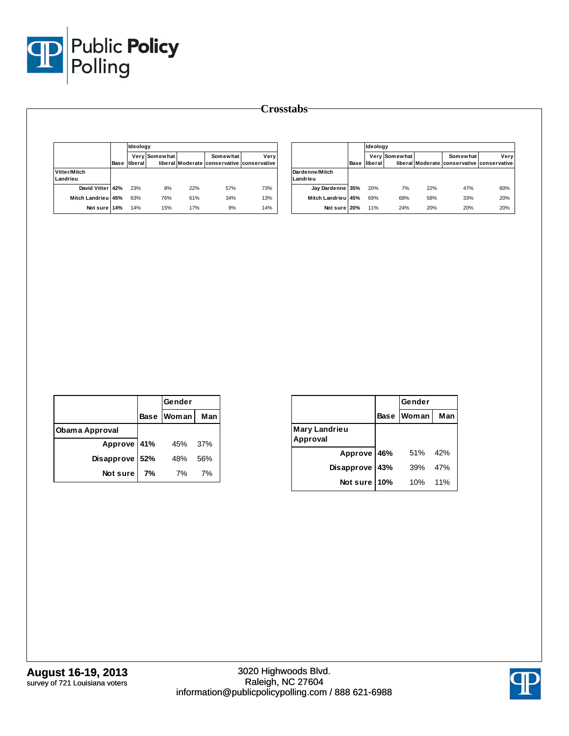

|                          |      |                      | Ideology      |     |                                                               |      |  |  |  |
|--------------------------|------|----------------------|---------------|-----|---------------------------------------------------------------|------|--|--|--|
|                          | Base | liberal <sup>1</sup> | Very Somewhat |     | <b>Somewhat</b><br>liberal Moderate conservative conservative | Verv |  |  |  |
| Vitter/Mitch<br>Landrieu |      |                      |               |     |                                                               |      |  |  |  |
| David Vitter 42%         |      | 23%                  | 8%            | 22% | 57%                                                           | 73%  |  |  |  |
| <b>Mitch Landrieu</b>    | 45%  | 63%                  | 76%           | 61% | 34%                                                           | 13%  |  |  |  |
| Not sure 14%             |      | 14%                  | 15%           | 17% | 9%                                                            | 14%  |  |  |  |

|                            |      |         | Ideology             |     |                                                        |      |  |  |  |
|----------------------------|------|---------|----------------------|-----|--------------------------------------------------------|------|--|--|--|
|                            | Base | liberal | <b>Very Somewhat</b> |     | Somewhat<br>liberal Moderate conservative conservative | Verv |  |  |  |
| Dardenne/Mitch<br>Landrieu |      |         |                      |     |                                                        |      |  |  |  |
| Jay Dardenne 35%           |      | 20%     | 7%                   | 22% | 47%                                                    | 60%  |  |  |  |
| Mitch Landrieu 45%         |      | 69%     | 68%                  | 58% | 33%                                                    | 20%  |  |  |  |
| Not sure 20%               |      | 11%     | 24%                  | 20% | 20%                                                    | 20%  |  |  |  |

|                |     | Gender     |     |
|----------------|-----|------------|-----|
|                |     | Base Woman | Man |
| Obama Approval |     |            |     |
| Approve 41%    |     | 45%        | 37% |
| Disapprove     | 52% | 48%        | 56% |
| Not sure       | 7%  | 7%         | 7%  |

|                           |             | Gender |     |
|---------------------------|-------------|--------|-----|
|                           | <b>Base</b> | Woman  | Man |
| Mary Landrieu<br>Approval |             |        |     |
| Approve 46%               |             | 51%    | 42% |
| Disapprove                | 43%         | 39%    | 47% |
| Not sure                  | 10%         | 10%    | 11% |

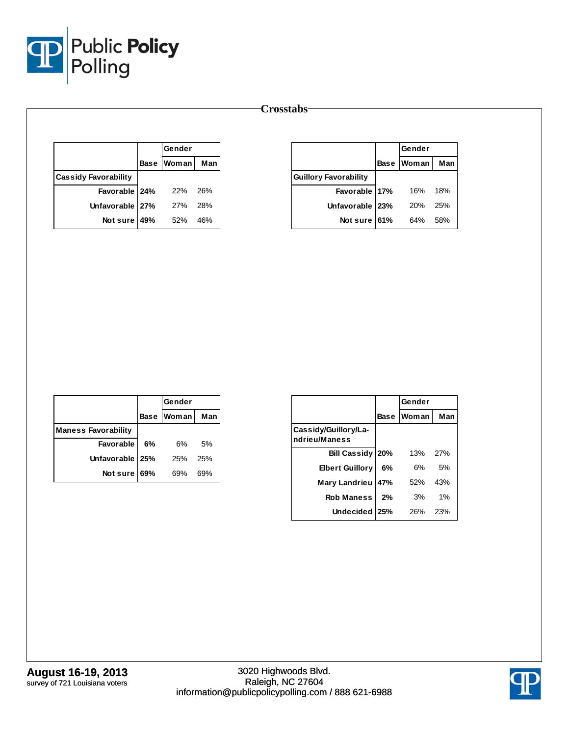

|                             | Gender            |     |
|-----------------------------|-------------------|-----|
|                             | <b>Base Woman</b> | Man |
| <b>Cassidy Favorability</b> |                   |     |
| Favorable 24%               | - 22%             | 26% |
| Unfavorable 27%             | 27%               | 28% |
| Not sure $49%$              | 52%               | 46% |

|                              | Gender     |     |
|------------------------------|------------|-----|
|                              | Base Woman | Man |
| <b>Guillory Favorability</b> |            |     |
| Favorable 17%                | 16%        | 18% |
| Unfavorable   23%            | 20%        | 25% |
| Not sure 61%                 | 64%        | 58% |

|                            |    | Gender            |     |
|----------------------------|----|-------------------|-----|
|                            |    | <b>Base Woman</b> | Man |
| <b>Maness Favorability</b> |    |                   |     |
| <b>Favorable</b>           | 6% | 6%                | 5%  |
| Unfavorable   25%          |    | 25%               | 25% |
| Not sure 69%               |    | 69%               | 69% |

|                                       |             | Gender       |     |
|---------------------------------------|-------------|--------------|-----|
|                                       | <b>Base</b> | <b>Woman</b> | Man |
| Cassidy/Guillory/La-<br>ndrieu/Maness |             |              |     |
| Bill Cassidy   20%                    |             | 13%          | 27% |
| <b>Elbert Guillory</b>                | 6%          | 6%           | 5%  |
| Mary Landrieu                         | 47%         | 52%          | 43% |
| <b>Rob Maness</b>                     | 2%          | 3%           | 1%  |
| Undecided 25%                         |             | 26%          | 23% |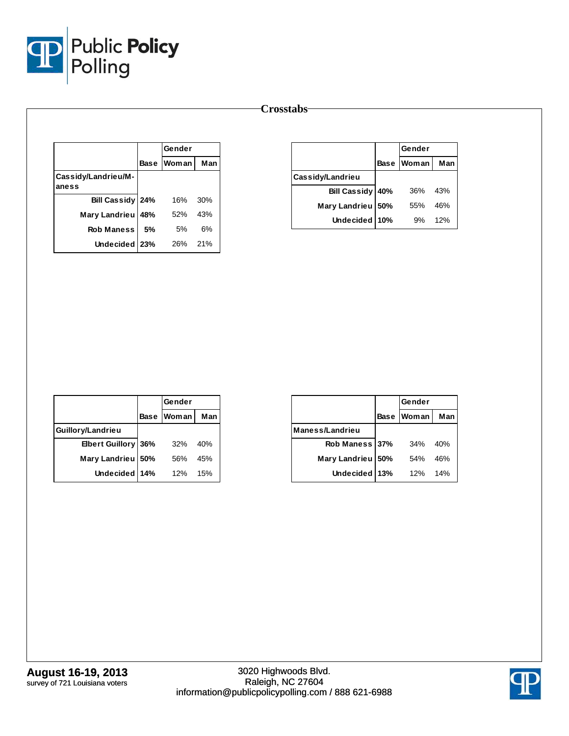

|                              |            | Gender       |     |
|------------------------------|------------|--------------|-----|
|                              | Base       | <b>Woman</b> | Man |
| Cassidy/Landrieu/M-<br>aness |            |              |     |
| Bill Cassidy 24%             |            | 16%          | 30% |
| Mary Landrieu                | <b>48%</b> | 52%          | 43% |
| <b>Rob Maness</b>            | 5%         | 5%           | 6%  |
| Undecided   23%              |            | 26%          | 21% |

|                      |             | Gender |     |  |
|----------------------|-------------|--------|-----|--|
|                      | <b>Base</b> | Woman  | Man |  |
| Cassidy/Landrieu     |             |        |     |  |
| <b>Bill Cassidy</b>  | 40%         | 36%    | 43% |  |
| <b>Mary Landrieu</b> | 50%         | 55%    | 46% |  |
| <b>Undecided</b>     | 10%         | 9%     | 12% |  |

|                     |             | Gender       |     |
|---------------------|-------------|--------------|-----|
|                     | <b>Base</b> | <b>Woman</b> | Man |
| Guillory/Landrieu   |             |              |     |
| Elbert Guillory 36% |             | 32%          | 40% |
| Mary Landrieu       | 50%         | .56%         | 45% |
| Undecided 14%       |             | 12%          | 15% |

|                   |             | Gender |     |
|-------------------|-------------|--------|-----|
|                   | <b>Base</b> | Woman  | Man |
| Maness/Landrieu   |             |        |     |
| Rob Maness 37%    |             | 34%    | 40% |
| Mary Landrieu 50% |             | 54%    | 46% |
| <b>Undecided</b>  | 13%         | 12%    | 14% |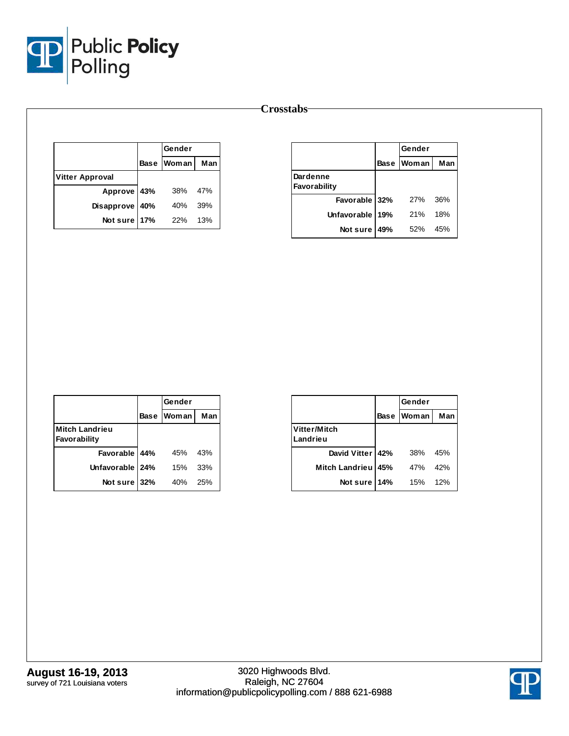

|                        | Gender     |     |
|------------------------|------------|-----|
|                        | Base Woman | Man |
| <b>Vitter Approval</b> |            |     |
| Approve 43%            | 38%        | 47% |
| Disapprove 40%         | 40%        | 39% |
| Not sure 17%           | 22%        | 13% |

|                          |     | Gender     |     |
|--------------------------|-----|------------|-----|
|                          |     | Base Woman | Man |
| Dardenne<br>Favorability |     |            |     |
| Favorable 32%            |     | 27%        | 36% |
| <b>Unfavorable</b>       | 19% | 21%        | 18% |
| Not sure                 | 49% | 52%        | 45% |

|                                       |             | Gender |     |
|---------------------------------------|-------------|--------|-----|
|                                       | <b>Base</b> | Woman  | Man |
| <b>Mitch Landrieu</b><br>Favorability |             |        |     |
| Favorable 44%                         |             | 45%    | 43% |
| Unfavorable   24%                     |             | 15%    | 33% |
| Not sure 32%                          |             | 40%    | 25% |

|                          |             | Gender |     |
|--------------------------|-------------|--------|-----|
|                          | <b>Base</b> | Woman  | Man |
| Vitter/Mitch<br>Landrieu |             |        |     |
| David Vitter   42%       |             | 38%    | 45% |
| <b>Mitch Landrieu</b>    | 45%         | 47%    | 42% |
| Not sure                 | 14%         | 15%    | 12% |

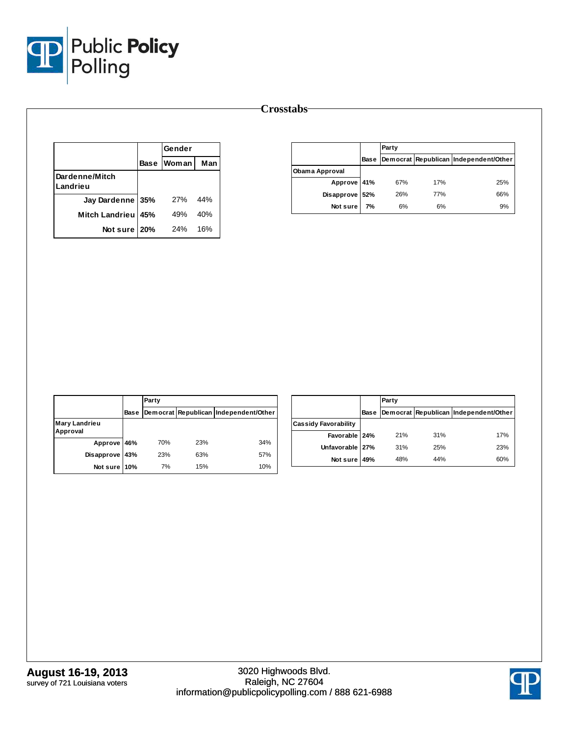

|                            |     | Gender            |     |
|----------------------------|-----|-------------------|-----|
|                            |     | <b>Base Woman</b> | Man |
| Dardenne/Mitch<br>Landrieu |     |                   |     |
| Jay Dardenne 35%           |     | 27%               | 44% |
| <b>Mitch Landrieu</b>      | 45% | 49%               | 40% |
| Not sure                   | 20% | 24%               | 16% |

|                |      | Party |     |                                       |
|----------------|------|-------|-----|---------------------------------------|
|                | Base |       |     | Democrat Republican Independent/Other |
| Obama Approval |      |       |     |                                       |
| Approve 41%    |      | 67%   | 17% | 25%                                   |
| Disapprove 52% |      | 26%   | 77% | 66%                                   |
| Not sure       | 7%   | 6%    | 6%  | 9%                                    |

|                                  |             | Party |     |                                       |
|----------------------------------|-------------|-------|-----|---------------------------------------|
|                                  | <b>Base</b> |       |     | Democrat Republican Independent/Other |
| <b>Mary Landrieu</b><br>Approval |             |       |     |                                       |
| Approve 46%                      |             | 70%   | 23% | 34%                                   |
| Disapprove 43%                   |             | 23%   | 63% | 57%                                   |
| Not sure 10%                     |             | 7%    | 15% | 10%                                   |

|                             |      | Party |     |                                       |
|-----------------------------|------|-------|-----|---------------------------------------|
|                             | Base |       |     | Democrat Republican Independent/Other |
| <b>Cassidy Favorability</b> |      |       |     |                                       |
| Favorable 24%               |      | 21%   | 31% | 17%                                   |
| Unfavorable 27%             |      | 31%   | 25% | 23%                                   |
| Not sure 49%                |      | 48%   | 44% | 60%                                   |

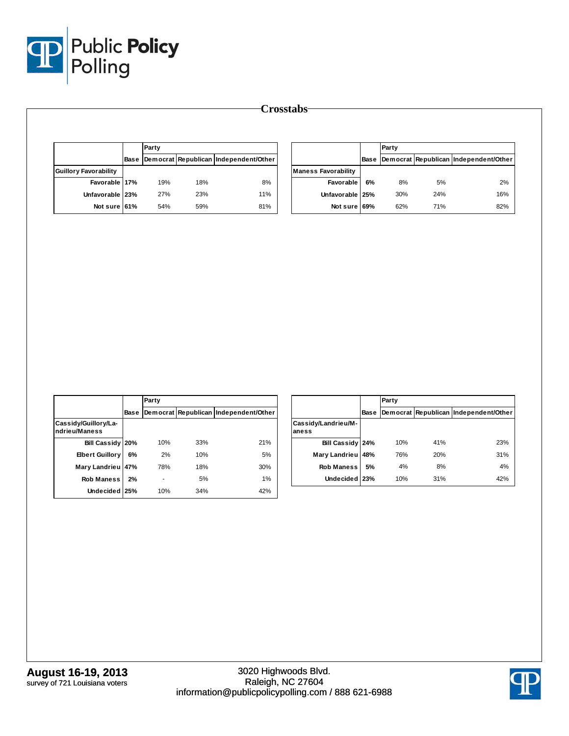

|                              |      | Party |     |                                       |
|------------------------------|------|-------|-----|---------------------------------------|
|                              | Base |       |     | Democrat Republican Independent/Other |
| <b>Guillory Favorability</b> |      |       |     |                                       |
| Favorable 17%                |      | 19%   | 18% | 8%                                    |
| Unfavorable 23%              |      | 27%   | 23% | 11%                                   |
| Not sure 61%                 |      | 54%   | 59% | 81%                                   |

|                            |             | Party |     |                                       |
|----------------------------|-------------|-------|-----|---------------------------------------|
|                            | <b>Base</b> |       |     | Democrat Republican Independent/Other |
| <b>Maness Favorability</b> |             |       |     |                                       |
| Favorable                  | 6%          | 8%    | 5%  | 2%                                    |
| Unfavorable 25%            |             | 30%   | 24% | 16%                                   |
| Not sure 69%               |             | 62%   | 71% | 82%                                   |

|                                       |             | Party |     |                                       |
|---------------------------------------|-------------|-------|-----|---------------------------------------|
|                                       | <b>Base</b> |       |     | Democrat Republican Independent/Other |
| Cassidy/Guillory/La-<br>ndrieu/Maness |             |       |     |                                       |
| Bill Cassidy 20%                      |             | 10%   | 33% | 21%                                   |
| <b>Elbert Guillory</b>                | 6%          | 2%    | 10% | 5%                                    |
| Mary Landrieu 47%                     |             | 78%   | 18% | 30%                                   |
| <b>Rob Maness</b>                     | 2%          |       | 5%  | 1%                                    |
| Undecided 25%                         |             | 10%   | 34% | 42%                                   |

|                              |      | Party |     |                                       |
|------------------------------|------|-------|-----|---------------------------------------|
|                              | Base |       |     | Democrat Republican Independent/Other |
| Cassidy/Landrieu/M-<br>aness |      |       |     |                                       |
| Bill Cassidy 24%             |      | 10%   | 41% | 23%                                   |
| Mary Landrieu                | 48%  | 76%   | 20% | 31%                                   |
| <b>Rob Maness</b>            | 5%   | 4%    | 8%  | 4%                                    |
| <b>Undecided</b>             | 23%  | 10%   | 31% | 42%                                   |

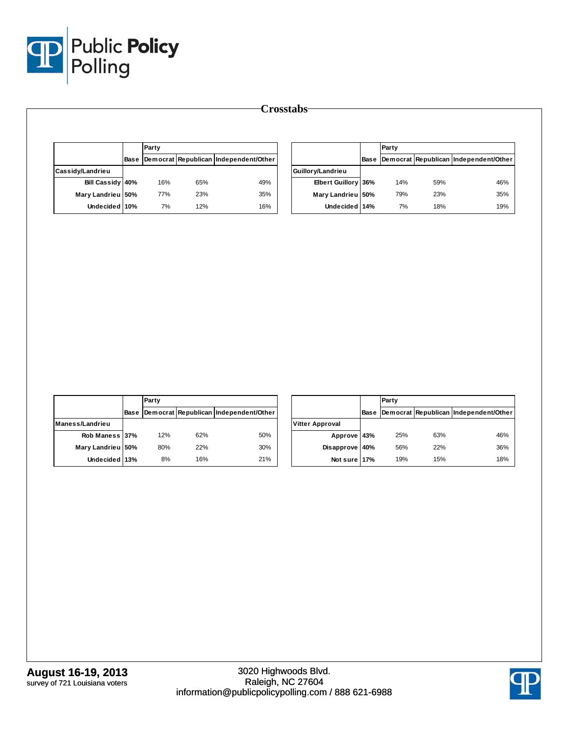

|                                      |      | Party |     |                                            |                     |             | Party |     |                                            |
|--------------------------------------|------|-------|-----|--------------------------------------------|---------------------|-------------|-------|-----|--------------------------------------------|
|                                      | Base |       |     | Democrat Republican Independent/Other      |                     | <b>Base</b> |       |     | Democrat Republican Independent/Other      |
| Cassidy/Landrieu                     |      |       |     |                                            | Guillory/Landrieu   |             |       |     |                                            |
| Bill Cassidy 40%                     |      | 16%   | 65% | 49%                                        | Elbert Guillory 36% |             | 14%   | 59% | 46%                                        |
| Mary Landrieu 50%                    |      | 77%   | 23% | 35%                                        | Mary Landrieu 50%   |             | 79%   | 23% | 35%                                        |
| Undecided 10%                        |      | $7\%$ | 12% | 16%                                        | Undecided 14%       |             | 7%    | 18% | 19%                                        |
|                                      |      |       |     |                                            |                     |             |       |     |                                            |
|                                      |      |       |     |                                            |                     |             |       |     |                                            |
|                                      |      | Party |     |                                            |                     |             | Party |     |                                            |
|                                      |      |       |     | Base Democrat Republican Independent/Other |                     |             |       |     | Base Democrat Republican Independent/Other |
|                                      |      |       |     |                                            | Vitter Approval     |             |       |     |                                            |
| Rob Maness 37%                       |      | 12%   | 62% | 50%                                        | Approve 43%         |             | 25%   | 63% | 46%                                        |
| Maness/Landrieu<br>Mary Landrieu 50% |      | 80%   | 22% | $30\%$                                     | Disapprove 40%      |             | 56%   | 22% | 36%                                        |
| Undecided 13%                        |      | $8\%$ | 16% | 21%                                        | Not sure 17%        |             | 19%   | 15% | 18%                                        |

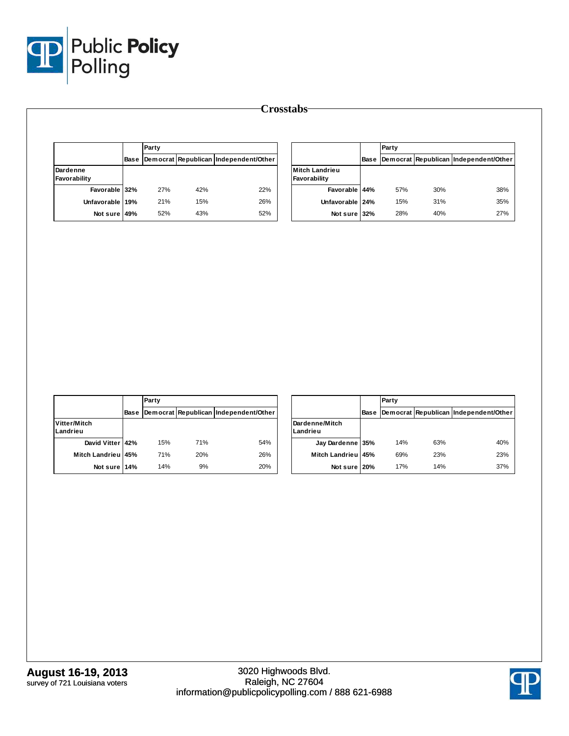

|                          | Party |     |                                            |                                       |      |
|--------------------------|-------|-----|--------------------------------------------|---------------------------------------|------|
|                          |       |     | Base Democrat Republican Independent/Other |                                       | Base |
| Dardenne<br>Favorability |       |     |                                            | <b>Mitch Landrieu</b><br>Favorability |      |
| Favorable 32%            | 27%   | 42% | 22%                                        | Favorable 44%                         |      |
| Unfavorable 19%          | 21%   | 15% | 26%                                        | Unfavorable 24%                       |      |
| Not sure 49%             | 52%   | 43% | 52%                                        | Not sure 32%                          |      |

|                                       |             | Party |     |                                       |
|---------------------------------------|-------------|-------|-----|---------------------------------------|
|                                       | <b>Base</b> |       |     | Democrat Republican Independent/Other |
| <b>Mitch Landrieu</b><br>Favorability |             |       |     |                                       |
| Favorable 44%                         |             | 57%   | 30% | 38%                                   |
| Unfavorable 24%                       |             | 15%   | 31% | 35%                                   |
| Not sure 32%                          |             | 28%   | 40% | 27%                                   |

|                          |             | Party |     |                                       |  |  |  |
|--------------------------|-------------|-------|-----|---------------------------------------|--|--|--|
|                          | <b>Base</b> |       |     | Democrat Republican Independent/Other |  |  |  |
| Vitter/Mitch<br>Landrieu |             |       |     |                                       |  |  |  |
| David Vitter 42%         |             | 15%   | 71% | 54%                                   |  |  |  |
| Mitch Landrieu 45%       |             | 71%   | 20% | 26%                                   |  |  |  |
| Not sure 14%             |             | 14%   | 9%  | 20%                                   |  |  |  |

|                            |      | Party |     |                                       |  |  |  |
|----------------------------|------|-------|-----|---------------------------------------|--|--|--|
|                            | Base |       |     | Democrat Republican Independent/Other |  |  |  |
| Dardenne/Mitch<br>Landrieu |      |       |     |                                       |  |  |  |
| Jay Dardenne 35%           |      | 14%   | 63% | 40%                                   |  |  |  |
| Mitch Landrieu 45%         |      | 69%   | 23% | 23%                                   |  |  |  |
| Not sure 20%               |      | 17%   | 14% | 37%                                   |  |  |  |

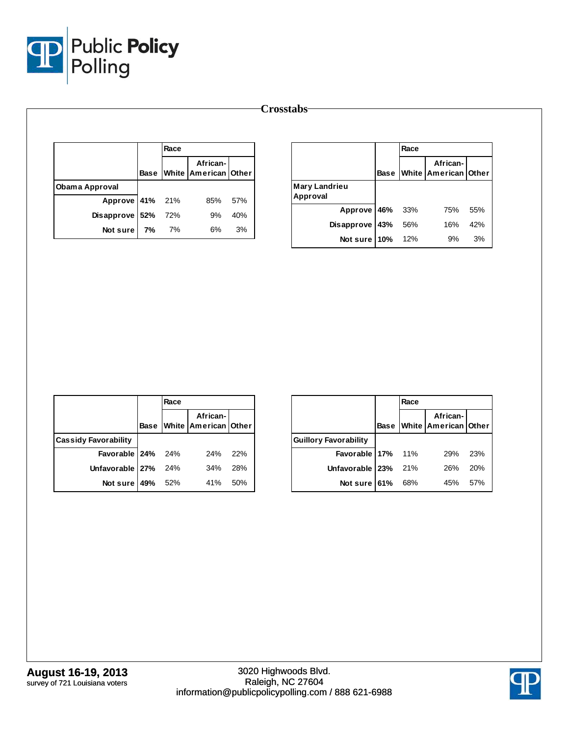

|                 |             | Race |                                  |     |
|-----------------|-------------|------|----------------------------------|-----|
|                 | <b>Base</b> |      | African-<br>White American Other |     |
| Obama Approval  |             |      |                                  |     |
| Approve 41% 21% |             |      | 85%                              | 57% |
| Disapprove 52%  |             | 72%  | 9%                               | 40% |
| Not sure        | 7%          | 7%   | 6%                               | 3%  |

|                           |         | Race |                                       |     |
|---------------------------|---------|------|---------------------------------------|-----|
|                           |         |      | African-<br>Base White American Other |     |
| Mary Landrieu<br>Approval |         |      |                                       |     |
| Approve 46% 33%           |         |      | 75%                                   | 55% |
| <b>Disapprove</b>         | 43% 56% |      | 16%                                   | 42% |
| Not sure 10%              |         | 12%  | 9%                                    | 3%  |

|                             |      | Race |                                  |     |
|-----------------------------|------|------|----------------------------------|-----|
|                             | Base |      | African-<br>White American Other |     |
| <b>Cassidy Favorability</b> |      |      |                                  |     |
| Favorable $24\%$ 24%        |      |      | 24%                              | 22% |
| Unfavorable 27% 24%         |      |      | 34%                              | 28% |
| Not sure   49% 52%          |      |      | 41%                              | 50% |

|                              |      | Race |                                  |     |
|------------------------------|------|------|----------------------------------|-----|
|                              | Base |      | African-<br>White American Other |     |
| <b>Guillory Favorability</b> |      |      |                                  |     |
| Favorable $17\%$ 11%         |      |      | 29%                              | 23% |
| Unfavorable   23%            |      | 21%  | 26%                              | 20% |
| Not sure $61%$               |      | 68%  | 45%                              | 57% |

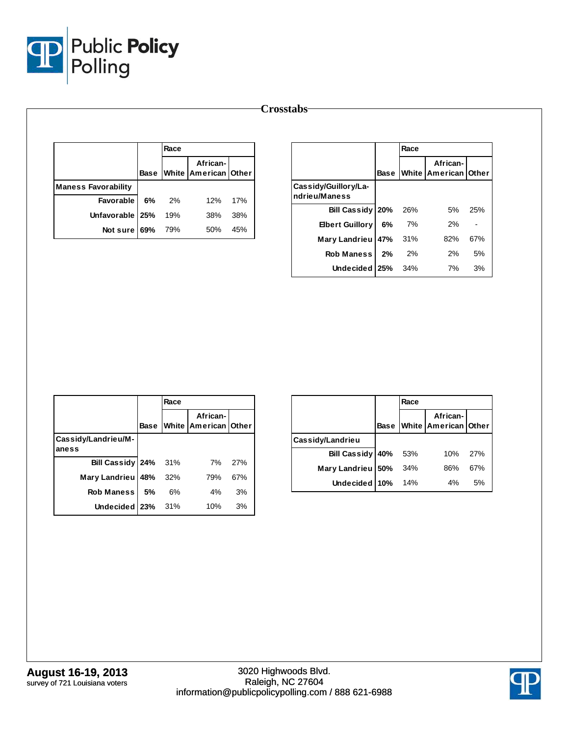

|                            |      | Race |                                  |     |
|----------------------------|------|------|----------------------------------|-----|
|                            | Base |      | African-<br>White American Other |     |
| <b>Maness Favorability</b> |      |      |                                  |     |
| <b>Favorable</b>           | 6%   | 2%   | 12%                              | 17% |
| Unfavorable   25%          |      | 19%  | 38%                              | 38% |
| Not sure                   | 69%  | 79%  | 50%                              | 45% |

|                                       |             | Race |                                  |     |
|---------------------------------------|-------------|------|----------------------------------|-----|
|                                       | <b>Base</b> |      | African-<br>White American Other |     |
| Cassidy/Guillory/La-<br>ndrieu/Maness |             |      |                                  |     |
| Bill Cassidy 20%                      |             | 26%  | 5%                               | 25% |
| <b>Ebert Guillory</b>                 | 6%          | 7%   | 2%                               |     |
| Mary Landrieu 47% 31%                 |             |      | 82%                              | 67% |
| Rob Maness                            | - 2%        | 2%   | 2%                               | 5%  |
| Undecided 25%                         |             | 34%  | 7%                               | 3%  |

|                              |      | Race |                                  |     |
|------------------------------|------|------|----------------------------------|-----|
|                              | Base |      | African-<br>White American Other |     |
| Cassidy/Landrieu/M-<br>aness |      |      |                                  |     |
| Bill Cassidy 24%             |      | 31%  | 7%                               | 27% |
| Mary Landrieu 48%            |      | 32%  | 79%                              | 67% |
| <b>Rob Maness</b>            | .5%  | 6%   | 4%                               | 3%  |
| Undecided 23%                |      | 31%  | 10%                              | 3%  |

|                         |             | Race |                                  |     |
|-------------------------|-------------|------|----------------------------------|-----|
|                         | <b>Base</b> |      | African-<br>White American Other |     |
| <b>Cassidy/Landrieu</b> |             |      |                                  |     |
| Bill Cassidy 40%        |             | 53%  | 10%                              | 27% |
| Mary Landrieu 50%       |             | 34%  | 86%                              | 67% |
| Undecided 10%           |             | 14%  | 4%                               | 5%  |

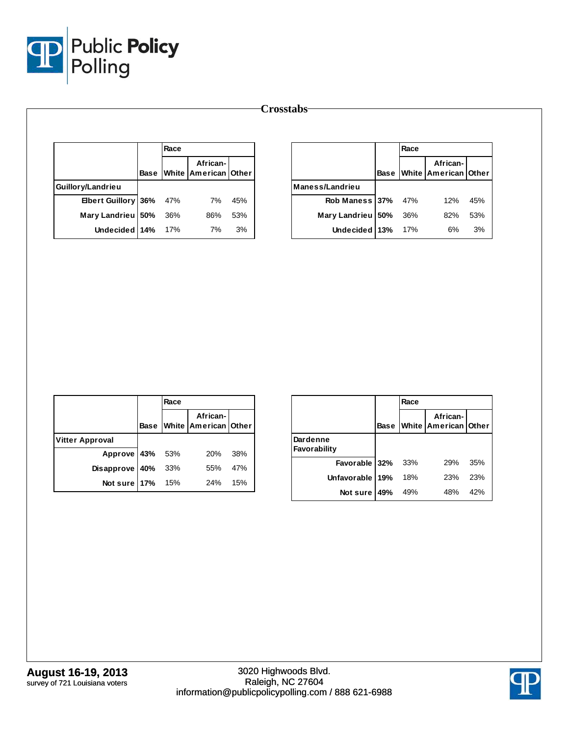

|                     |             | Race |                                      |     |                 |     | Race |                                        |
|---------------------|-------------|------|--------------------------------------|-----|-----------------|-----|------|----------------------------------------|
|                     | <b>Base</b> |      | African-<br>White   American   Other |     |                 |     |      | African-<br><b>Base White American</b> |
| Guillory/Landrieu   |             |      |                                      |     | Maness/Landrieu |     |      |                                        |
| Elbert Guillory 36% |             | 47%  | 7%                                   | 45% | Rob Maness 37%  |     | 47%  | 12%                                    |
| Mary Landrieu 50%   |             | 36%  | 86%                                  | 53% | Mary Landrieu   | 50% | 36%  | 82%                                    |
| Undecided 14%       |             | 17%  | 7%                                   | 3%  | Undecided 13%   |     | 17%  | 6%                                     |

|                        |             | Race |                                  |     |
|------------------------|-------------|------|----------------------------------|-----|
|                        | <b>Base</b> |      | African-<br>White American Other |     |
| <b>Vitter Approval</b> |             |      |                                  |     |
| Approve 43% 53%        |             |      | 20%                              | 38% |
| Disapprove 40%         |             | 33%  | 55%                              | 47% |
| Not sure $17%$ 15%     |             |      | 24%                              | 15% |

|                          |             | Race |                                                |     |
|--------------------------|-------------|------|------------------------------------------------|-----|
|                          | <b>Base</b> |      | African-<br><b>IWhite   American   Other  </b> |     |
| Dardenne<br>Favorability |             |      |                                                |     |
| Favorable 32%            |             | 33%  | 29%                                            | 35% |
| Unfavorable 19%          |             | 18%  | 23%                                            | 23% |
| Not sure                 | 49%         | 49%  | 48%                                            | 42% |

**Other** 

**37%** 47% 12% 45% **50%** 36% 82% 53% **13%** 17% 6% 3%

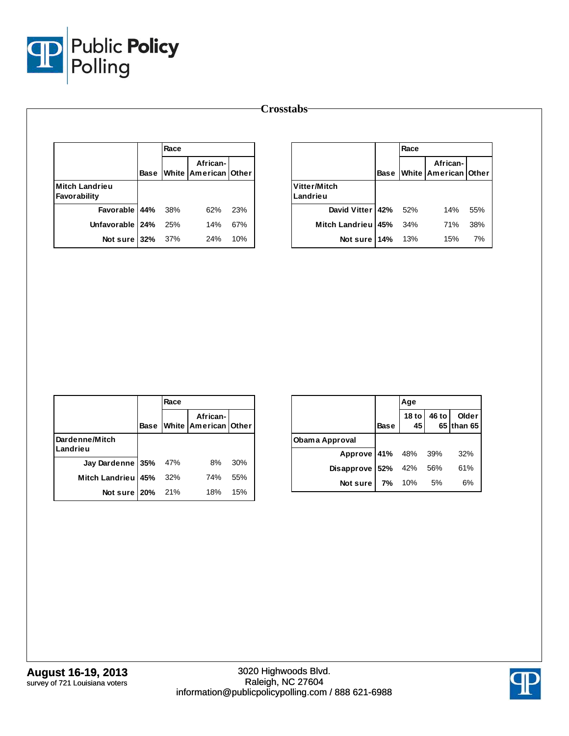

|                                       |             |      |                                      |     | <b>Crosstabs</b>         |             |
|---------------------------------------|-------------|------|--------------------------------------|-----|--------------------------|-------------|
|                                       |             | Race |                                      |     |                          |             |
|                                       | <b>Base</b> |      | African-<br>White   American   Other |     |                          | <b>Base</b> |
| <b>Mitch Landrieu</b><br>Favorability |             |      |                                      |     | Vitter/Mitch<br>Landrieu |             |
| Favorable 44%                         |             | 38%  | 62%                                  | 23% | <b>David Vitter</b>      | 42%         |
| Unfavorable 24%                       |             | 25%  | 14%                                  | 67% | <b>Mitch Landrieu</b>    | 45%         |
| Not sure 32%                          |             | 37%  | 24%                                  | 10% | Not sure                 | 14%         |

|                          |             | Race |                                  |     |
|--------------------------|-------------|------|----------------------------------|-----|
|                          | <b>Base</b> |      | African-<br>White American Other |     |
| Vitter/Mitch<br>Landrieu |             |      |                                  |     |
| David Vitter 42% 52%     |             |      | 14%                              | 55% |
| Mitch Landrieu 45% 34%   |             |      | 71%                              | 38% |
| Not sure 14% 13%         |             |      | 15%                              | 7%  |

|                            |             | Race |                                  |     |
|----------------------------|-------------|------|----------------------------------|-----|
|                            | <b>Base</b> |      | African-<br>White American Other |     |
| Dardenne/Mitch<br>Landrieu |             |      |                                  |     |
| Jay Dardenne 35%           |             | 47%  | 8%                               | 30% |
| Mitch Landrieu 45%         |             | 32%  | 74%                              | 55% |
| Not sure 20%               |             | 21%  | 18%                              | 15% |

|                     |             | Age                    |       |                     |
|---------------------|-------------|------------------------|-------|---------------------|
|                     | <b>Base</b> | 18 <sub>to</sub><br>45 | 46 to | Older<br>65 than 65 |
| Obama Approval      |             |                        |       |                     |
| Approve 41% 48% 39% |             |                        |       | 32%                 |
| Disapprove          | 52%         | 42%                    | 56%   | 61%                 |
| Not sure            | 7%          | 10%                    | 5%    | 6%                  |

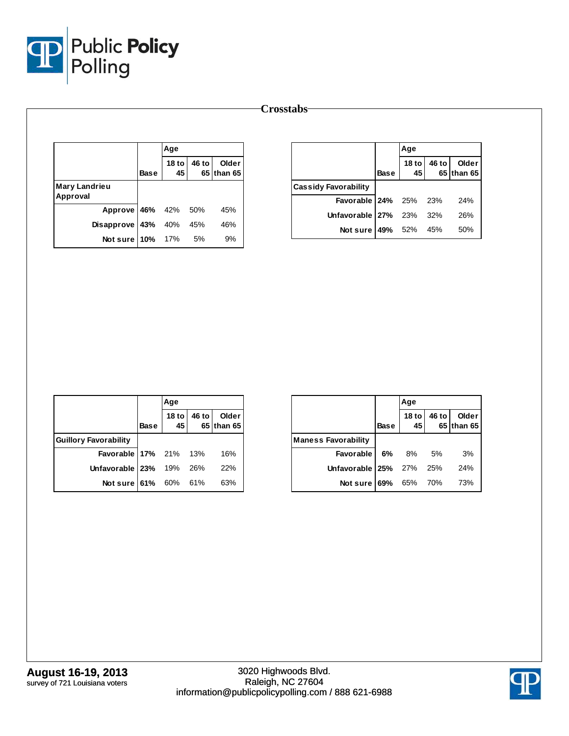

| <b>Crosstabs</b> |  |
|------------------|--|
|------------------|--|

|                           |      | Age                    |       |                     |
|---------------------------|------|------------------------|-------|---------------------|
|                           | Base | 18 <sub>to</sub><br>45 | 46 to | Older<br>65 than 65 |
| Mary Landrieu<br>Approval |      |                        |       |                     |
| Approve 46% 42% 50%       |      |                        |       | 45%                 |
| Disapprove 43% 40% 45%    |      |                        |       | 46%                 |
| Notsure $10\%$ 17%        |      |                        | .5%   | 9%                  |

|                              |             | Age                    |       |                     |
|------------------------------|-------------|------------------------|-------|---------------------|
|                              | <b>Base</b> | 18 <sub>to</sub><br>45 | 46 to | Older<br>65 than 65 |
| <b>Cassidy Favorability</b>  |             |                        |       |                     |
| <b>Favorable 24%</b> 25% 23% |             |                        |       | 24%                 |
| Unfavorable $27\%$ 23% 32%   |             |                        |       | 26%                 |
| Not sure   49% 52% 45%       |             |                        |       | 50%                 |

|                              |             | Age                    |       |                     |
|------------------------------|-------------|------------------------|-------|---------------------|
|                              | <b>Base</b> | 18 <sub>to</sub><br>45 | 46 to | Older<br>65 than 65 |
| <b>Guillory Favorability</b> |             |                        |       |                     |
| <b>Favorable 17%</b> 21% 13% |             |                        |       | 16%                 |
| Unfavorable   23% 19% 26%    |             |                        |       | 22%                 |
| Not sure 61% 60% 61%         |             |                        |       | 63%                 |

|                            |             | Age              |       |                     |
|----------------------------|-------------|------------------|-------|---------------------|
|                            | <b>Base</b> | 18 <sub>to</sub> | 46 to | Older<br>65 than 65 |
| <b>Maness Favorability</b> |             |                  |       |                     |
| <b>Favorable 6%</b> 8%     |             |                  | 5%    | 3%                  |
| Unfavorable 25% 27%        |             |                  | 25%   | 24%                 |
| Not sure 69%               |             | 65% 70%          |       | 73%                 |

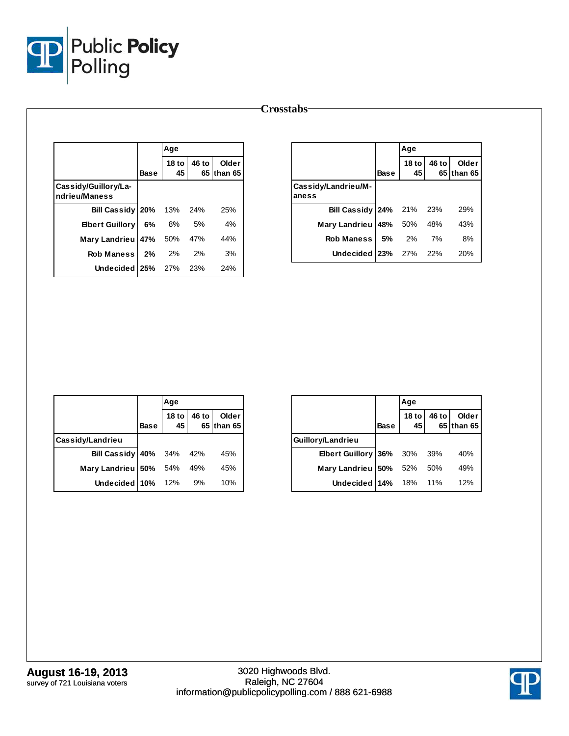

|                                       |      | Age                 |       |                     |
|---------------------------------------|------|---------------------|-------|---------------------|
|                                       | Base | 18 to $\vert$<br>45 | 46 to | Older<br>65 than 65 |
| Cassidy/Guillory/La-<br>ndrieu/Maness |      |                     |       |                     |
| Bill Cassidy 20% 13% 24%              |      |                     |       | 25%                 |
| <b>Elbert Guillory</b>                |      | 6% 8%               | 5%    | 4%                  |
| Mary Landrieu 47% 50%                 |      |                     | 47%   | 44%                 |
| Rob Maness 2% 2%                      |      |                     | 2%    | 3%                  |
| Undecided 25% 27% 23%                 |      |                     |       | 24%                 |

|                                 |             | Age           |       |                     |
|---------------------------------|-------------|---------------|-------|---------------------|
|                                 | <b>Base</b> | $18$ to<br>45 | 46 to | Older<br>65 than 65 |
| Cassidy/Landrieu/M-<br>aness    |             |               |       |                     |
| <b>Bill Cassidy 24%</b> 21% 23% |             |               |       | 29%                 |
| Mary Landrieu                   |             | 48% 50% 48%   |       | 43%                 |
| <b>Rob Maness</b>               | 5%          | 2% 7%         |       | 8%                  |
| Undecided 23% 27%               |             |               | 22%   | 20%                 |

|                                 |             | Age                    |       |                     |
|---------------------------------|-------------|------------------------|-------|---------------------|
|                                 | <b>Base</b> | 18 <sub>to</sub><br>45 | 46 to | Older<br>65 than 65 |
| Cassidy/Landrieu                |             |                        |       |                     |
| <b>Bill Cassidy 40%</b> 34% 42% |             |                        |       | 45%                 |
| Mary Landrieu 50% 54% 49%       |             |                        |       | 45%                 |
| Undecided 10% 12%               |             |                        | 9%    | 10%                 |

|                         |             | Aqe              |        |                       |
|-------------------------|-------------|------------------|--------|-----------------------|
|                         | <b>Base</b> | 18 <sub>to</sub> | 46 to  | Older<br>$65$ than 65 |
| Guillory/Landrieu       |             |                  |        |                       |
| Elbert Guillory 36% 30% |             |                  | 39%    | 40%                   |
| Mary Landrieu           | 50%         | 52%              | 50%    | 49%                   |
| Undecided 14%           |             | 18%              | $11\%$ | 12%                   |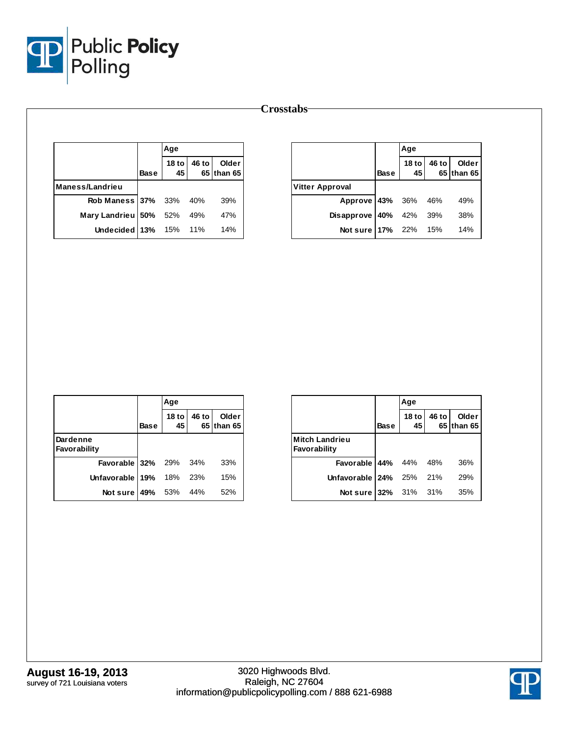

| Crosstabs |  |
|-----------|--|
|-----------|--|

|                             |             | Aqe                 |       |                     |
|-----------------------------|-------------|---------------------|-------|---------------------|
|                             | <b>Base</b> | 18 to $\vert$<br>45 | 46 to | Older<br>65 than 65 |
| Maness/Landrieu             |             |                     |       |                     |
| Rob Maness 37% 33% 40%      |             |                     |       | 39%                 |
| Mary Landrieu   50% 52% 49% |             |                     |       | 47%                 |
| Undecided 13% 15% 11%       |             |                     |       | 14%                 |

|                             |             | Age           |       |                     |
|-----------------------------|-------------|---------------|-------|---------------------|
|                             | <b>Base</b> | 18 to 1<br>45 | 46 to | Older<br>65 than 65 |
| <b>Vitter Approval</b>      |             |               |       |                     |
| Approve 43% 36% 46%         |             |               |       | 49%                 |
| Disapprove 40% 42% 39%      |             |               |       | 38%                 |
| <b>Not sure 17%</b> 22% 15% |             |               |       | 14%                 |

|                          |             | Age           |       |                     |
|--------------------------|-------------|---------------|-------|---------------------|
|                          | <b>Base</b> | $18$ to<br>45 | 46 to | Older<br>65 than 65 |
| Dardenne<br>Favorability |             |               |       |                     |
| Favorable 32% 29%        |             |               | 34%   | 33%                 |
| Unfavorable 19%          |             | 18%           | 23%   | 15%                 |
| Not sure   49% 53% 44%   |             |               |       | 52%                 |

|                                       |             | Age           |       |                     |
|---------------------------------------|-------------|---------------|-------|---------------------|
|                                       | <b>Base</b> | $18$ to<br>45 | 46 to | Older<br>65 than 65 |
| <b>Mitch Landrieu</b><br>Favorability |             |               |       |                     |
| <b>Favorable 44%</b> 44% 48%          |             |               |       | 36%                 |
| Unfavorable $24\%$ 25% 21%            |             |               |       | 29%                 |
| Not sure 32% 31% 31%                  |             |               |       | 35%                 |